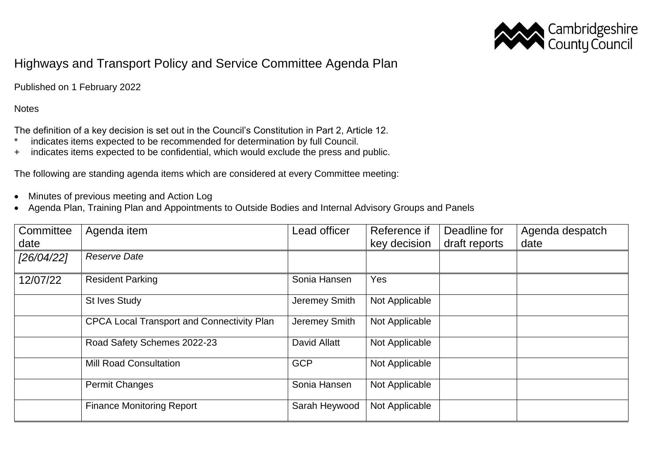

## Highways and Transport Policy and Service Committee Agenda Plan

Published on 1 February 2022

**Notes** 

The definition of a key decision is set out in the Council's Constitution in Part 2, Article 12.

- \* indicates items expected to be recommended for determination by full Council.
- + indicates items expected to be confidential, which would exclude the press and public.

The following are standing agenda items which are considered at every Committee meeting:

- Minutes of previous meeting and Action Log
- Agenda Plan, Training Plan and Appointments to Outside Bodies and Internal Advisory Groups and Panels

| Committee  | Agenda item                                       | Lead officer  | Reference if   | Deadline for  | Agenda despatch |
|------------|---------------------------------------------------|---------------|----------------|---------------|-----------------|
| date       |                                                   |               | key decision   | draft reports | date            |
| [26/04/22] | <b>Reserve Date</b>                               |               |                |               |                 |
| 12/07/22   | <b>Resident Parking</b>                           | Sonia Hansen  | Yes            |               |                 |
|            | <b>St Ives Study</b>                              | Jeremey Smith | Not Applicable |               |                 |
|            | <b>CPCA Local Transport and Connectivity Plan</b> | Jeremey Smith | Not Applicable |               |                 |
|            | Road Safety Schemes 2022-23                       | David Allatt  | Not Applicable |               |                 |
|            | <b>Mill Road Consultation</b>                     | <b>GCP</b>    | Not Applicable |               |                 |
|            | <b>Permit Changes</b>                             | Sonia Hansen  | Not Applicable |               |                 |
|            | <b>Finance Monitoring Report</b>                  | Sarah Heywood | Not Applicable |               |                 |